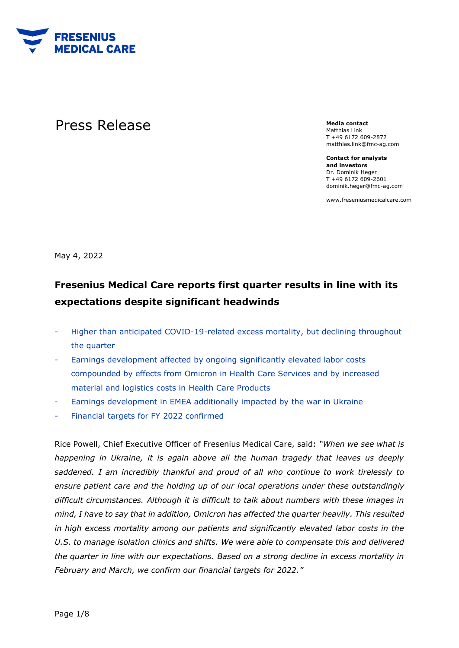

Press Release **Media** contact

Matthias Link T +49 6172 609-2872 matthias.link@fmc-ag.com

**Contact for analysts and investors** Dr. Dominik Heger T +49 6172 609-2601 dominik.heger@fmc-ag.com

www.freseniusmedicalcare.com

May 4, 2022

# **Fresenius Medical Care reports first quarter results in line with its expectations despite significant headwinds**

- Higher than anticipated COVID-19-related excess mortality, but declining throughout the quarter
- Earnings development affected by ongoing significantly elevated labor costs compounded by effects from Omicron in Health Care Services and by increased material and logistics costs in Health Care Products
- Earnings development in EMEA additionally impacted by the war in Ukraine
- Financial targets for FY 2022 confirmed

Rice Powell, Chief Executive Officer of Fresenius Medical Care, said: *"When we see what is happening in Ukraine, it is again above all the human tragedy that leaves us deeply saddened. I am incredibly thankful and proud of all who continue to work tirelessly to ensure patient care and the holding up of our local operations under these outstandingly difficult circumstances. Although it is difficult to talk about numbers with these images in mind, I have to say that in addition, Omicron has affected the quarter heavily. This resulted in high excess mortality among our patients and significantly elevated labor costs in the U.S. to manage isolation clinics and shifts. We were able to compensate this and delivered the quarter in line with our expectations. Based on a strong decline in excess mortality in February and March, we confirm our financial targets for 2022."*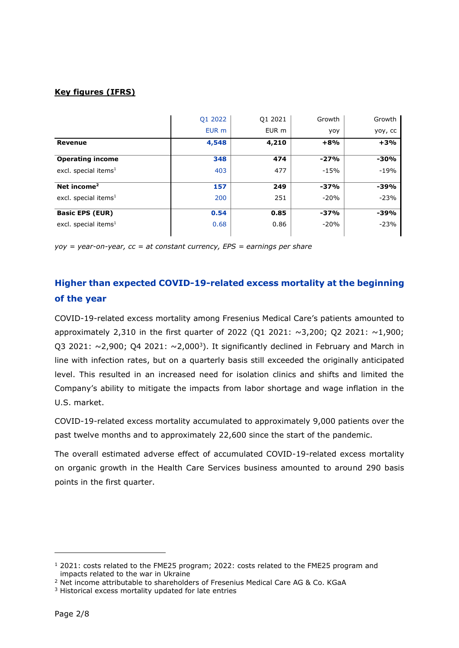#### **Key figures (IFRS)**

|                                  | Q1 2022 | Q1 2021 | Growth | Growth  |
|----------------------------------|---------|---------|--------|---------|
|                                  | EUR m   | EUR m   | yoy    | yoy, cc |
| Revenue                          | 4,548   | 4,210   | $+8%$  | $+3%$   |
| <b>Operating income</b>          | 348     | 474     | $-27%$ | $-30%$  |
| excl. special items <sup>1</sup> | 403     | 477     | $-15%$ | $-19%$  |
| Net income <sup>2</sup>          | 157     | 249     | $-37%$ | -39%    |
| excl. special items <sup>1</sup> | 200     | 251     | $-20%$ | $-23%$  |
| <b>Basic EPS (EUR)</b>           | 0.54    | 0.85    | $-37%$ | -39%    |
| excl. special items <sup>1</sup> | 0.68    | 0.86    | $-20%$ | $-23%$  |
|                                  |         |         |        |         |

*yoy = year-on-year, cc = at constant currency, EPS = earnings per share*

## **Higher than expected COVID-19-related excess mortality at the beginning of the year**

COVID-19-related excess mortality among Fresenius Medical Care's patients amounted to approximately 2,310 in the first quarter of 2022 (Q1 2021: ~3,200; Q2 2021: ~1,900; Q3 2021:  $\sim$ 2,900; Q4 2021:  $\sim$ 2,000<sup>3</sup>). It significantly declined in February and March in line with infection rates, but on a quarterly basis still exceeded the originally anticipated level. This resulted in an increased need for isolation clinics and shifts and limited the Company's ability to mitigate the impacts from labor shortage and wage inflation in the U.S. market.

COVID-19-related excess mortality accumulated to approximately 9,000 patients over the past twelve months and to approximately 22,600 since the start of the pandemic.

The overall estimated adverse effect of accumulated COVID-19-related excess mortality on organic growth in the Health Care Services business amounted to around 290 basis points in the first quarter.

<sup>&</sup>lt;sup>1</sup> 2021: costs related to the FME25 program; 2022: costs related to the FME25 program and impacts related to the war in Ukraine

<sup>&</sup>lt;sup>2</sup> Net income attributable to shareholders of Fresenius Medical Care AG & Co. KGaA

<sup>3</sup> Historical excess mortality updated for late entries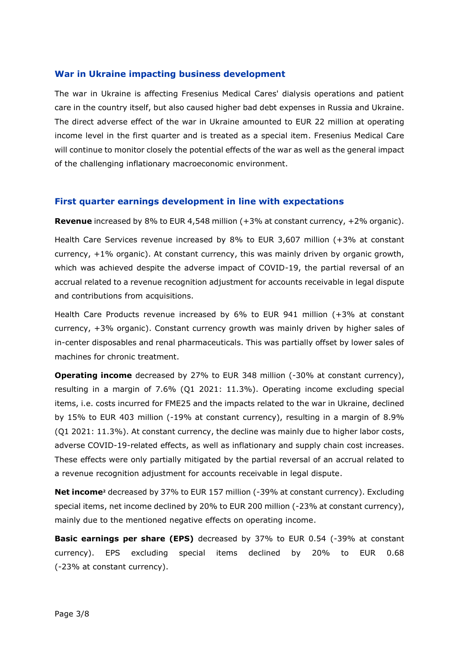#### **War in Ukraine impacting business development**

The war in Ukraine is affecting Fresenius Medical Cares' dialysis operations and patient care in the country itself, but also caused higher bad debt expenses in Russia and Ukraine. The direct adverse effect of the war in Ukraine amounted to EUR 22 million at operating income level in the first quarter and is treated as a special item. Fresenius Medical Care will continue to monitor closely the potential effects of the war as well as the general impact of the challenging inflationary macroeconomic environment.

#### **First quarter earnings development in line with expectations**

**Revenue** increased by 8% to EUR 4,548 million (+3% at constant currency, +2% organic).

Health Care Services revenue increased by 8% to EUR 3,607 million (+3% at constant currency, +1% organic). At constant currency, this was mainly driven by organic growth, which was achieved despite the adverse impact of COVID-19, the partial reversal of an accrual related to a revenue recognition adjustment for accounts receivable in legal dispute and contributions from acquisitions.

Health Care Products revenue increased by 6% to EUR 941 million (+3% at constant currency, +3% organic). Constant currency growth was mainly driven by higher sales of in-center disposables and renal pharmaceuticals. This was partially offset by lower sales of machines for chronic treatment.

**Operating income** decreased by 27% to EUR 348 million (-30% at constant currency), resulting in a margin of 7.6% (Q1 2021: 11.3%). Operating income excluding special items, i.e. costs incurred for FME25 and the impacts related to the war in Ukraine, declined by 15% to EUR 403 million (-19% at constant currency), resulting in a margin of 8.9% (Q1 2021: 11.3%). At constant currency, the decline was mainly due to higher labor costs, adverse COVID-19-related effects, as well as inflationary and supply chain cost increases. These effects were only partially mitigated by the partial reversal of an accrual related to a revenue recognition adjustment for accounts receivable in legal dispute.

**Net income<sup>2</sup>** decreased by 37% to EUR 157 million (-39% at constant currency). Excluding special items, net income declined by 20% to EUR 200 million (-23% at constant currency), mainly due to the mentioned negative effects on operating income.

**Basic earnings per share (EPS)** decreased by 37% to EUR 0.54 (-39% at constant currency). EPS excluding special items declined by 20% to EUR 0.68 (-23% at constant currency).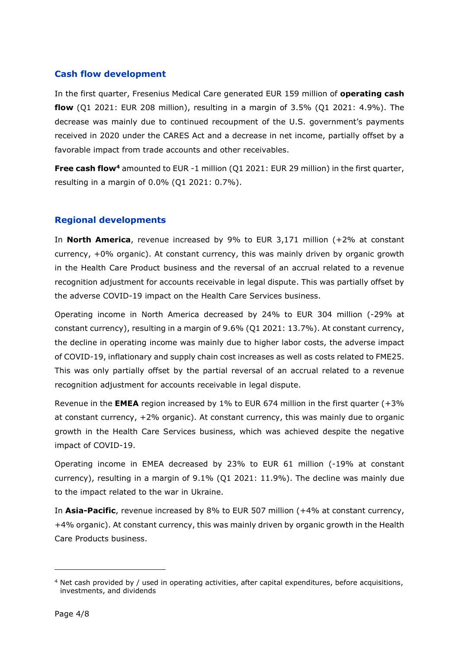#### **Cash flow development**

In the first quarter, Fresenius Medical Care generated EUR 159 million of **operating cash flow** (Q1 2021: EUR 208 million), resulting in a margin of 3.5% (Q1 2021: 4.9%). The decrease was mainly due to continued recoupment of the U.S. government's payments received in 2020 under the CARES Act and a decrease in net income, partially offset by a favorable impact from trade accounts and other receivables.

**Free cash flow<sup>4</sup>** amounted to EUR -1 million (Q1 2021: EUR 29 million) in the first quarter, resulting in a margin of 0.0% (Q1 2021: 0.7%).

## **Regional developments**

In **North America**, revenue increased by 9% to EUR 3,171 million (+2% at constant currency, +0% organic). At constant currency, this was mainly driven by organic growth in the Health Care Product business and the reversal of an accrual related to a revenue recognition adjustment for accounts receivable in legal dispute. This was partially offset by the adverse COVID-19 impact on the Health Care Services business.

Operating income in North America decreased by 24% to EUR 304 million (-29% at constant currency), resulting in a margin of 9.6% (Q1 2021: 13.7%). At constant currency, the decline in operating income was mainly due to higher labor costs, the adverse impact of COVID-19, inflationary and supply chain cost increases as well as costs related to FME25. This was only partially offset by the partial reversal of an accrual related to a revenue recognition adjustment for accounts receivable in legal dispute.

Revenue in the **EMEA** region increased by 1% to EUR 674 million in the first quarter (+3% at constant currency, +2% organic). At constant currency, this was mainly due to organic growth in the Health Care Services business, which was achieved despite the negative impact of COVID-19.

Operating income in EMEA decreased by 23% to EUR 61 million (-19% at constant currency), resulting in a margin of 9.1% (Q1 2021: 11.9%). The decline was mainly due to the impact related to the war in Ukraine.

In **Asia-Pacific**, revenue increased by 8% to EUR 507 million (+4% at constant currency, +4% organic). At constant currency, this was mainly driven by organic growth in the Health Care Products business.

<sup>4</sup> Net cash provided by / used in operating activities, after capital expenditures, before acquisitions, investments, and dividends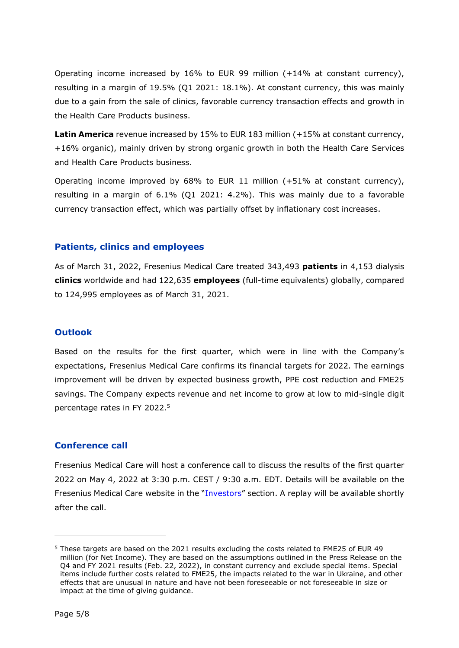Operating income increased by 16% to EUR 99 million (+14% at constant currency), resulting in a margin of 19.5% (Q1 2021: 18.1%). At constant currency, this was mainly due to a gain from the sale of clinics, favorable currency transaction effects and growth in the Health Care Products business.

**Latin America** revenue increased by 15% to EUR 183 million (+15% at constant currency, +16% organic), mainly driven by strong organic growth in both the Health Care Services and Health Care Products business.

Operating income improved by 68% to EUR 11 million (+51% at constant currency), resulting in a margin of 6.1% (Q1 2021: 4.2%). This was mainly due to a favorable currency transaction effect, which was partially offset by inflationary cost increases.

#### **Patients, clinics and employees**

As of March 31, 2022, Fresenius Medical Care treated 343,493 **patients** in 4,153 dialysis **clinics** worldwide and had 122,635 **employees** (full-time equivalents) globally, compared to 124,995 employees as of March 31, 2021.

## **Outlook**

Based on the results for the first quarter, which were in line with the Company's expectations, Fresenius Medical Care confirms its financial targets for 2022. The earnings improvement will be driven by expected business growth, PPE cost reduction and FME25 savings. The Company expects revenue and net income to grow at low to mid-single digit percentage rates in FY 2022.<sup>5</sup>

## **Conference call**

Fresenius Medical Care will host a conference call to discuss the results of the first quarter 2022 on May 4, 2022 at 3:30 p.m. CEST / 9:30 a.m. EDT. Details will be available on the Fresenius Medical Care website in the "[Investors](https://www.freseniusmedicalcare.com/en/investors/publications)" section. A replay will be available shortly after the call.

<sup>5</sup> These targets are based on the 2021 results excluding the costs related to FME25 of EUR 49 million (for Net Income). They are based on the assumptions outlined in the Press Release on the Q4 and FY 2021 results (Feb. 22, 2022), in constant currency and exclude special items. Special items include further costs related to FME25, the impacts related to the war in Ukraine, and other effects that are unusual in nature and have not been foreseeable or not foreseeable in size or impact at the time of giving guidance.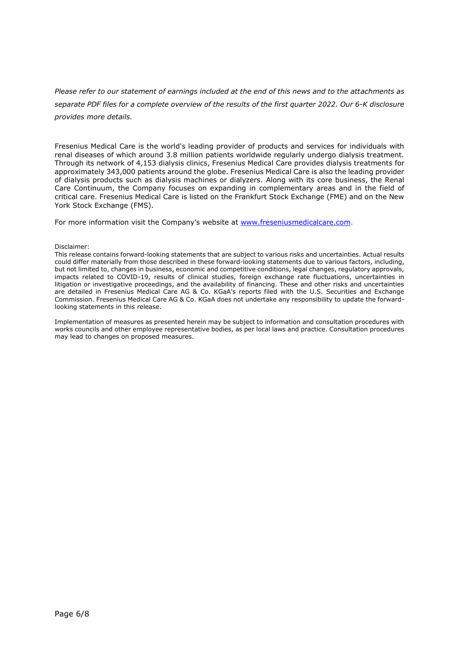*Please refer to our statement of earnings included at the end of this news and to the attachments as separate PDF files for a complete overview of the results of the first quarter 2022. Our 6-K disclosure provides more details.*

Fresenius Medical Care is the world's leading provider of products and services for individuals with renal diseases of which around 3.8 million patients worldwide regularly undergo dialysis treatment. Through its network of 4,153 dialysis clinics, Fresenius Medical Care provides dialysis treatments for approximately 343,000 patients around the globe. Fresenius Medical Care is also the leading provider of dialysis products such as dialysis machines or dialyzers. Along with its core business, the Renal Care Continuum, the Company focuses on expanding in complementary areas and in the field of critical care. Fresenius Medical Care is listed on the Frankfurt Stock Exchange (FME) and on the New York Stock Exchange (FMS).

For more information visit the Company's website at [www.freseniusmedicalcare.com.](http://www.freseniusmedicalcare.com/)

#### Disclaimer:

This release contains forward-looking statements that are subject to various risks and uncertainties. Actual results could differ materially from those described in these forward-looking statements due to various factors, including, but not limited to, changes in business, economic and competitive conditions, legal changes, regulatory approvals, impacts related to COVID-19, results of clinical studies, foreign exchange rate fluctuations, uncertainties in litigation or investigative proceedings, and the availability of financing. These and other risks and uncertainties are detailed in Fresenius Medical Care AG & Co. KGaA's reports filed with the U.S. Securities and Exchange Commission. Fresenius Medical Care AG & Co. KGaA does not undertake any responsibility to update the forwardlooking statements in this release.

Implementation of measures as presented herein may be subject to information and consultation procedures with works councils and other employee representative bodies, as per local laws and practice. Consultation procedures may lead to changes on proposed measures.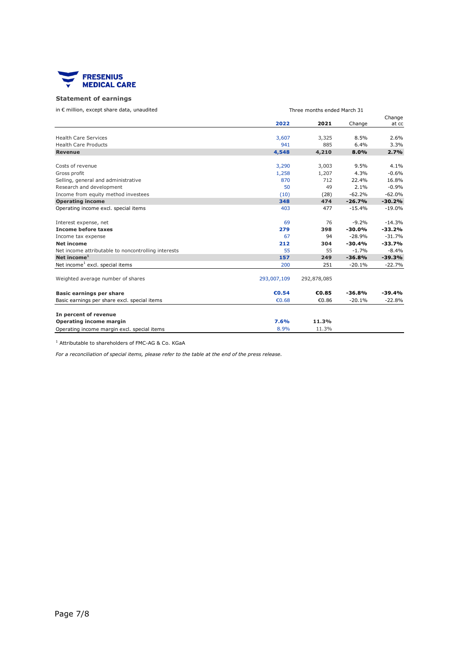

#### **Statement of earnings**

|  | in € million, except share data, unaudited |  |  |
|--|--------------------------------------------|--|--|
|--|--------------------------------------------|--|--|

| in € million, except share data, unaudited          | Three months ended March 31 |             |          |          |
|-----------------------------------------------------|-----------------------------|-------------|----------|----------|
|                                                     |                             |             |          | Change   |
|                                                     | 2022                        | 2021        | Change   | at cc    |
| <b>Health Care Services</b>                         | 3,607                       | 3,325       | 8.5%     | 2.6%     |
| <b>Health Care Products</b>                         | 941                         | 885         | 6.4%     | 3.3%     |
| <b>Revenue</b>                                      | 4,548                       | 4,210       | 8.0%     | 2.7%     |
|                                                     |                             |             |          |          |
| Costs of revenue                                    | 3,290                       | 3,003       | 9.5%     | 4.1%     |
| Gross profit                                        | 1,258                       | 1,207       | 4.3%     | $-0.6%$  |
| Selling, general and administrative                 | 870                         | 712         | 22.4%    | 16.8%    |
| Research and development                            | 50                          | 49          | 2.1%     | $-0.9%$  |
| Income from equity method investees                 | (10)                        | (28)        | $-62.2%$ | $-62.0%$ |
| <b>Operating income</b>                             | 348                         | 474         | $-26.7%$ | $-30.2%$ |
| Operating income excl. special items                | 403                         | 477         | $-15.4%$ | $-19.0%$ |
| Interest expense, net                               | 69                          | 76          | $-9.2%$  | $-14.3%$ |
| <b>Income before taxes</b>                          | 279                         | 398         | $-30.0%$ | $-33.2%$ |
| Income tax expense                                  | 67                          | 94          | $-28.9%$ | $-31.7%$ |
| <b>Net income</b>                                   | 212                         | 304         | $-30.4%$ | $-33.7%$ |
| Net income attributable to noncontrolling interests | 55                          | 55          | $-1.7%$  | $-8.4%$  |
| Net income $1$                                      | 157                         | 249         | $-36.8%$ | $-39.3%$ |
| Net income <sup>1</sup> excl. special items         | 200                         | 251         | $-20.1%$ | $-22.7%$ |
| Weighted average number of shares                   | 293,007,109                 | 292,878,085 |          |          |
|                                                     |                             |             |          |          |
| Basic earnings per share                            | €0.54                       | €0.85       | $-36.8%$ | $-39.4%$ |
| Basic earnings per share excl. special items        | €0.68                       | €0.86       | $-20.1%$ | $-22.8%$ |
| In percent of revenue                               |                             |             |          |          |
| Operating income margin                             | 7.6%                        | 11.3%       |          |          |
| Operating income margin excl. special items         | 8.9%                        | 11.3%       |          |          |

<sup>1</sup> Attributable to shareholders of FMC-AG & Co. KGaA

*For a reconciliation of special items, please refer to the table at the end of the press release.*